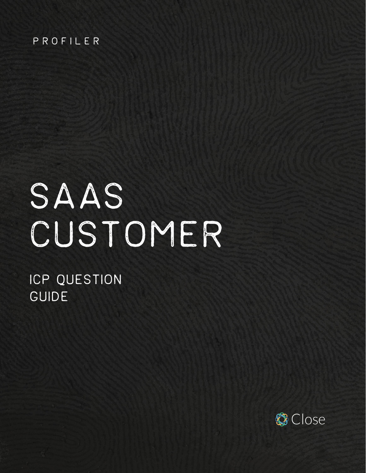#### PROFILER

# SAAS CUSTOMER

# ICP QUESTION GUIDE

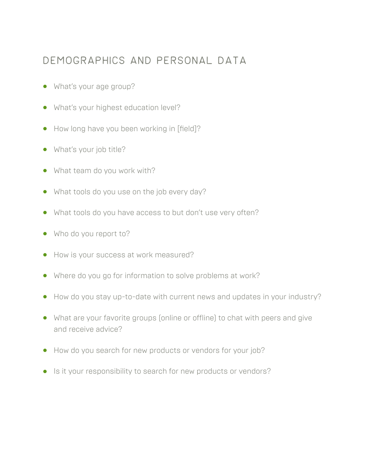#### Demographics and personal data

- **•** What's your age group?
- **•** What's your highest education level?
- **•** How long have you been working in [field]?
- **•** What's your job title?
- **•** What team do you work with?
- **•** What tools do you use on the job every day?
- **•** What tools do you have access to but don't use very often?
- **•** Who do you report to?
- **•** How is your success at work measured?
- **•** Where do you go for information to solve problems at work?
- **•** How do you stay up-to-date with current news and updates in your industry?
- **•** What are your favorite groups (online or offline) to chat with peers and give and receive advice?
- **•** How do you search for new products or vendors for your job?
- **•** Is it your responsibility to search for new products or vendors?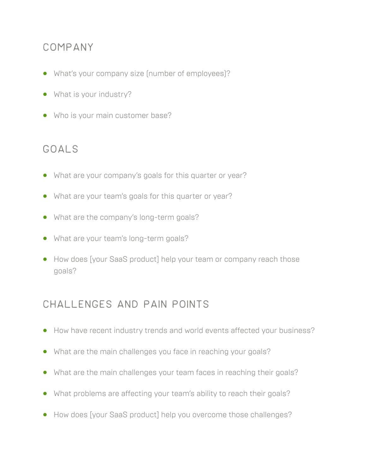#### Company

- **•** What's your company size (number of employees)?
- **•** What is your industry?
- **•** Who is your main customer base?

#### Goals

- **•** What are your company's goals for this quarter or year?
- **•** What are your team's goals for this quarter or year?
- **•** What are the company's long-term goals?
- **•** What are your team's long-term goals?
- **•** How does [your SaaS product] help your team or company reach those goals?

### Challenges and pain points

- **•** How have recent industry trends and world events affected your business?
- **•** What are the main challenges you face in reaching your goals?
- **•** What are the main challenges your team faces in reaching their goals?
- **•** What problems are affecting your team's ability to reach their goals?
- **•** How does [your SaaS product] help you overcome those challenges?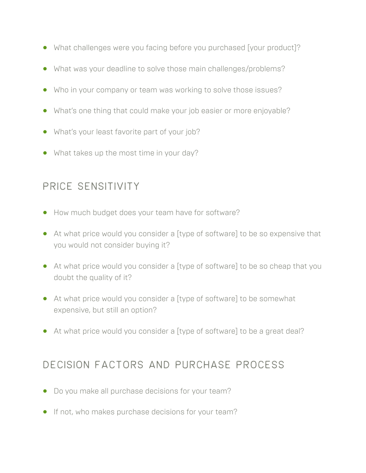- **•** What challenges were you facing before you purchased [your product]?
- **•** What was your deadline to solve those main challenges/problems?
- **•** Who in your company or team was working to solve those issues?
- **•** What's one thing that could make your job easier or more enjoyable?
- **•** What's your least favorite part of your job?
- **•** What takes up the most time in your day?

#### Price sensitivity

- **•** How much budget does your team have for software?
- **•** At what price would you consider a [type of software] to be so expensive that you would not consider buying it?
- **•** At what price would you consider a [type of software] to be so cheap that you doubt the quality of it?
- **•** At what price would you consider a [type of software] to be somewhat expensive, but still an option?
- **•** At what price would you consider a [type of software] to be a great deal?

### Decision factors and purchase process

- **•** Do you make all purchase decisions for your team?
- **•** If not, who makes purchase decisions for your team?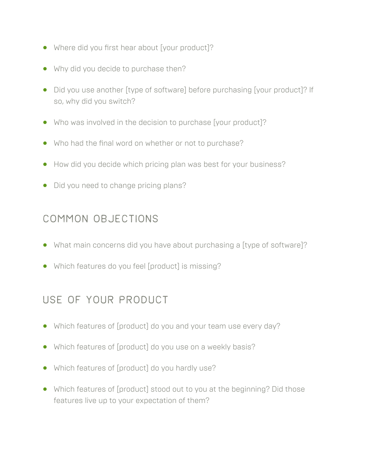- **•** Where did you first hear about [your product]?
- **•** Why did you decide to purchase then?
- **•** Did you use another [type of software] before purchasing [your product]? If so, why did you switch?
- **•** Who was involved in the decision to purchase [your product]?
- **•** Who had the final word on whether or not to purchase?
- **•** How did you decide which pricing plan was best for your business?
- **•** Did you need to change pricing plans?

## Common objections

- **•** What main concerns did you have about purchasing a [type of software]?
- **•** Which features do you feel [product] is missing?

# Use of your product

- **•** Which features of [product] do you and your team use every day?
- **•** Which features of [product] do you use on a weekly basis?
- **•** Which features of [product] do you hardly use?
- **•** Which features of [product] stood out to you at the beginning? Did those features live up to your expectation of them?